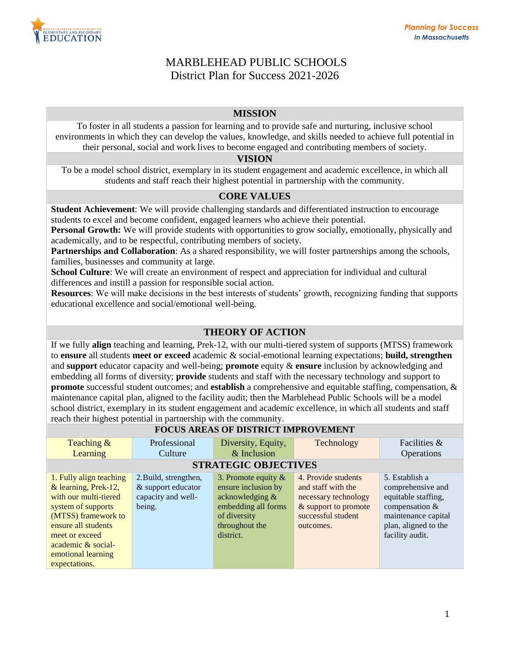

# MARBLEHEAD PUBLIC SCHOOLS District Plan for Success 2021-2026

### **MISSION**

To foster in all students a passion for learning and to provide safe and nurturing, inclusive school environments in which they can develop the values, knowledge, and skills needed to achieve full potential in their personal, social and work lives to become engaged and contributing members of society.

#### **VISION**

To be a model school district, exemplary in its student engagement and academic excellence, in which all students and staff reach their highest potential in partnership with the community.

# **CORE VALUES**

**Student Achievement**: We will provide challenging standards and differentiated instruction to encourage students to excel and become confident, engaged learners who achieve their potential.

**Personal Growth:** We will provide students with opportunities to grow socially, emotionally, physically and academically, and to be respectful, contributing members of society.

**Partnerships and Collaboration**: As a shared responsibility, we will foster partnerships among the schools, families, businesses and community at large.

**School Culture**: We will create an environment of respect and appreciation for individual and cultural differences and instill a passion for responsible social action.

**Resources**: We will make decisions in the best interests of students' growth, recognizing funding that supports educational excellence and social/emotional well-being.

# **THEORY OF ACTION**

If we fully **align** teaching and learning, Prek-12, with our multi-tiered system of supports (MTSS) framework to **ensure** all students **meet or exceed** academic & social-emotional learning expectations; **build, strengthen** and **support** educator capacity and well-being; **promote** equity & **ensure** inclusion by acknowledging and embedding all forms of diversity; **provide** students and staff with the necessary technology and support to **promote** successful student outcomes; and **establish** a comprehensive and equitable staffing, compensation, & maintenance capital plan, aligned to the facility audit; then the Marblehead Public Schools will be a model school district, exemplary in its student engagement and academic excellence, in which all students and staff reach their highest potential in partnership with the community.

# **FOCUS AREAS OF DISTRICT IMPROVEMENT**

| Teaching &<br>Learning                                                                                                                                                                                                      | Professional<br>Culture                                                     | Diversity, Equity,<br>$&$ Inclusion                                                                                                       | Technology                                                                                                                   | Facilities &<br>Operations                                                                                                                     |  |
|-----------------------------------------------------------------------------------------------------------------------------------------------------------------------------------------------------------------------------|-----------------------------------------------------------------------------|-------------------------------------------------------------------------------------------------------------------------------------------|------------------------------------------------------------------------------------------------------------------------------|------------------------------------------------------------------------------------------------------------------------------------------------|--|
| <b>STRATEGIC OBJECTIVES</b>                                                                                                                                                                                                 |                                                                             |                                                                                                                                           |                                                                                                                              |                                                                                                                                                |  |
| 1. Fully align teaching<br>& learning, Prek-12,<br>with our multi-tiered<br>system of supports<br>(MTSS) framework to<br>ensure all students<br>meet or exceed<br>academic & social-<br>emotional learning<br>expectations. | 2. Build, strengthen,<br>& support educator<br>capacity and well-<br>being. | 3. Promote equity $\&$<br>ensure inclusion by<br>acknowledging $\&$<br>embedding all forms<br>of diversity<br>throughout the<br>district. | 4. Provide students<br>and staff with the<br>necessary technology<br>& support to promote<br>successful student<br>outcomes. | 5. Establish a<br>comprehensive and<br>equitable staffing,<br>compensation &<br>maintenance capital<br>plan, aligned to the<br>facility audit. |  |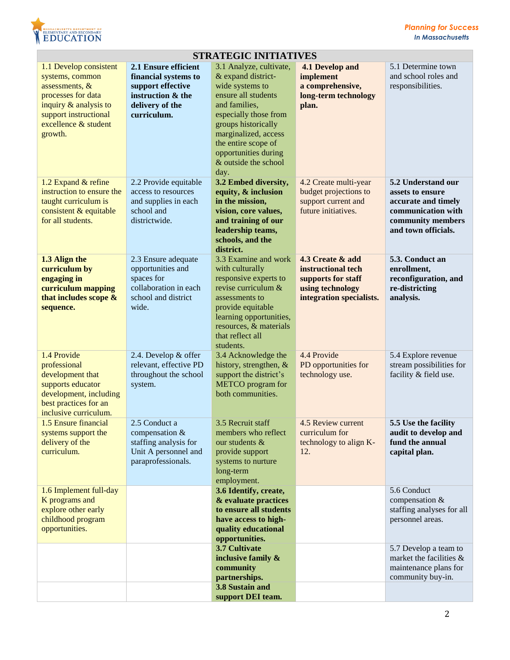

| 5.1 Determine town<br>and school roles and                                                                  |
|-------------------------------------------------------------------------------------------------------------|
| 5.2 Understand our<br>accurate and timely<br>communication with<br>community members<br>and town officials. |
| 5.3. Conduct an<br>reconfiguration, and                                                                     |
| 5.4 Explore revenue<br>stream possibilities for<br>facility & field use.                                    |
| 5.5 Use the facility<br>audit to develop and<br>fund the annual                                             |
| staffing analyses for all                                                                                   |
| 5.7 Develop a team to<br>market the facilities &<br>maintenance plans for<br>community buy-in.              |
| responsibilities.<br>assets to ensure<br>compensation &<br>personnel areas.                                 |